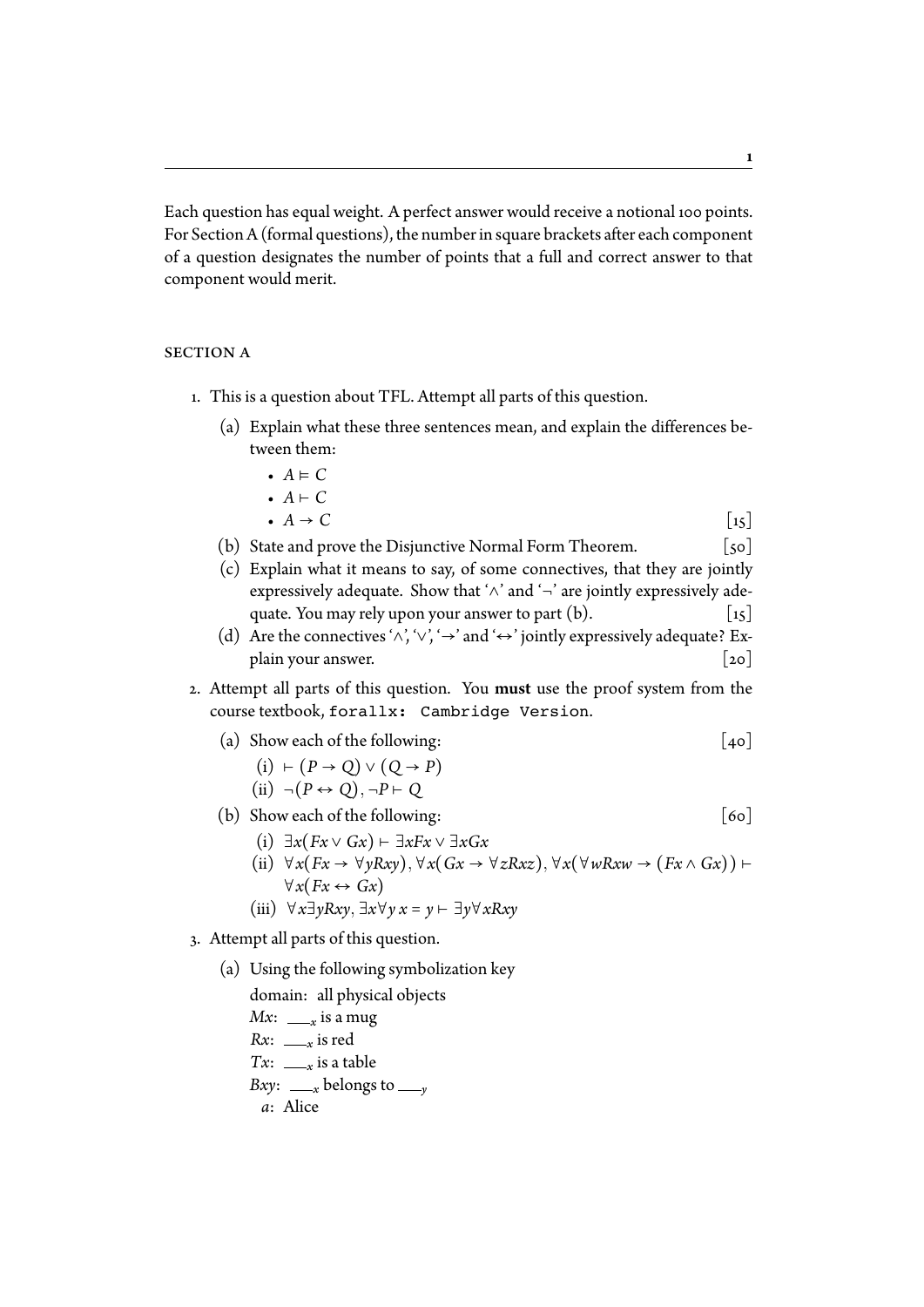Each question has equal weight. A perfect answer would receive a notional 100 points. For Section A (formal questions), the number in square brackets after each component of a question designates the number of points that a full and correct answer to that component would merit.

## SECTION A

- 1. This is a question about TFL. Attempt all parts of this question.
	- (a) Explain what these three sentences mean, and explain the differences between them:
		- *A* ⊧ *C*
		- $A \vdash C$ <br>•  $A \rightarrow C$
		- $A \rightarrow C$  [15]
	- (b) State and prove the Disjunctive Normal Form Theorem.  $\lceil 50 \rceil$
	- (c) Explain what it means to say, of some connectives, that they are jointly expressively adequate. Show that ' $\land$ ' and '¬' are jointly expressively adequate. You may rely upon your answer to part (b). [15] quate. You may rely upon your answer to part  $(b)$ .
	- (d) Are the connectives ' $\land$ ', ' $\lor$ ', ' $\rightarrow$ ' and ' $\leftrightarrow$ ' jointly expressively adequate? Ex-<br>plain your answer. [20] plain your answer.
- Ʀ. Attempt all parts of this question. You must use the proof system from the course textbook, forallx: Cambridge Version.
	- (a) Show each of the following:  $\begin{bmatrix} 40 \end{bmatrix}$ 
		- (i) ⊢ (*P* → *Q*) ∨ (*Q* → *P*)  $(ii) \neg (P \leftrightarrow Q), \neg P \vdash Q$
	- (b) Show each of the following:  $[60]$ 
		- (i) ∃*x*(*Fx* ∨ *Gx*) ⊢ ∃*xFx* ∨ ∃*xGx*
		- (ii) ∀*x*(*Fx* → ∀*yRxy*)*,*∀*x*(*Gx* → ∀*zRxz*)*,*∀*x*(∀*wRxw* → (*Fx* ∧ *Gx*)) ⊢  $∀x(Fx \leftrightarrow Gx)$
		- (iii) ∀*x*∃*yRxy,* ∃*x*∀*y x* = *y* ⊢ ∃*y*∀*xRxy*
- Ƨ. Attempt all parts of this question.
	- (a) Using the following symbolization key

domain: all physical objects  $Mx: \_\_\ x$  is a mug  $Rx: \_\_\ x$  is red  $Tx: \_\_\ x$  is a table *Bxy*:  $\frac{y}{x}$  belongs to  $\frac{y}{y}$ *a*: Alice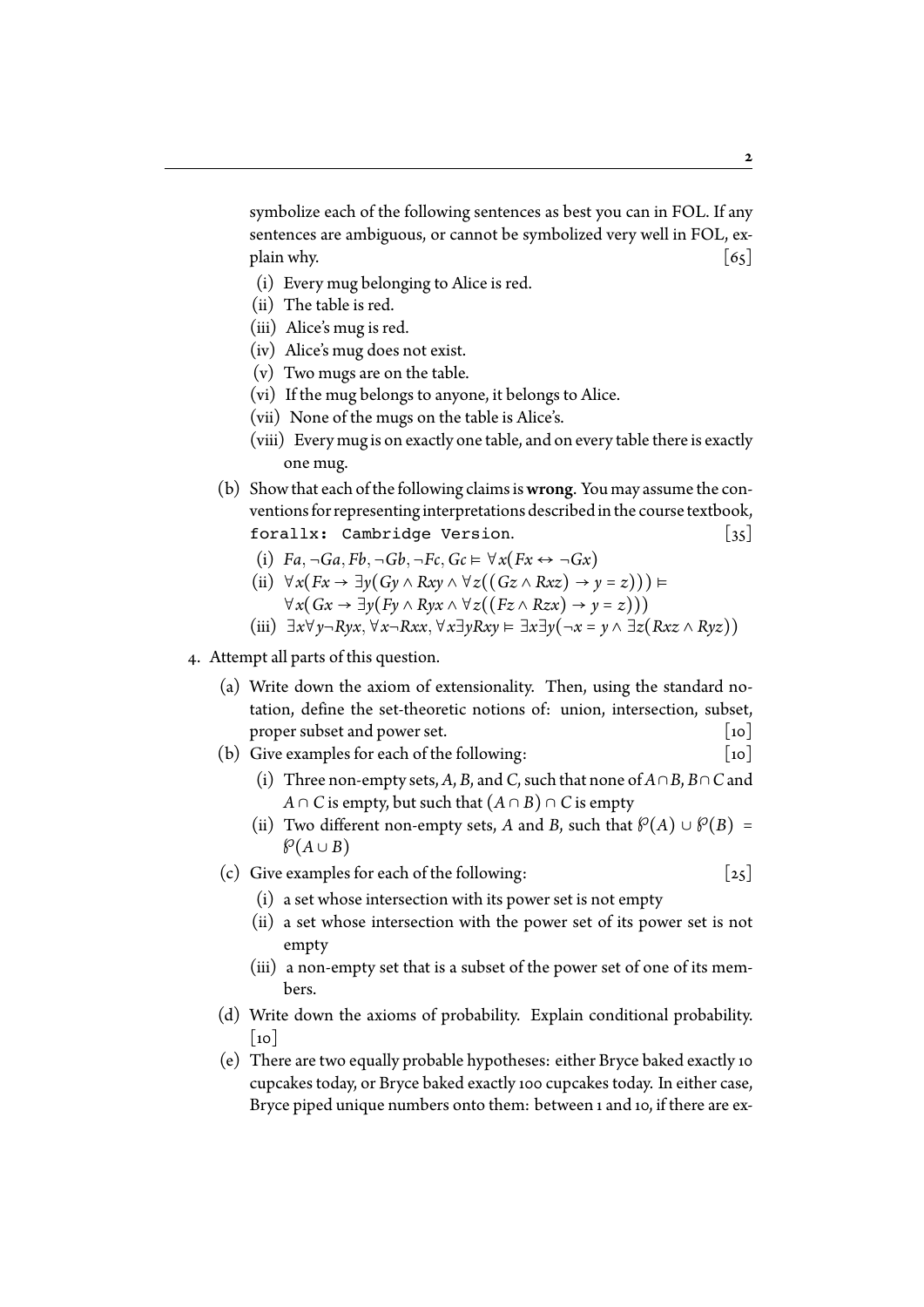symbolize each of the following sentences as best you can in FOL. If any sentences are ambiguous, or cannot be symbolized very well in FOL, explain why.  $\begin{bmatrix} 65 \end{bmatrix}$ 

- (i) Every mug belonging to Alice is red.
- (ii) The table is red.
- (iii) Alice's mug is red.
- (iv) Alice's mug does not exist.
- (v) Two mugs are on the table.
- (vi) If the mug belongs to anyone, it belongs to Alice.
- (vii) None of the mugs on the table is Alice's.
- (viii) Every mug is on exactly one table, and on every table there is exactly one mug.
- (b) Show that each of the following claims iswrong. You may assume the conventions for representing interpretations described in the course textbook, forallx: Cambridge Version.  $\begin{bmatrix} 35 \end{bmatrix}$ 
	- (i)  $Fa, \neg Ga, Fb, \neg Gb, \neg Fc, Gc \models \forall x (Fx \leftrightarrow \neg Gx)$
	- (ii) ∀*x*(*Fx* → ∃*y*(*Gy* ∧ *Rxy* ∧ ∀*z*((*Gz* ∧ *Rxz*) → *y* = *z*))) ⊧ ∀*x*(*Gx* → ∃*y*(*Fy* ∧ *Ryx* ∧ ∀*z*((*Fz* ∧ *Rzx*) → *y* = *z*)))
	- (iii) ∃*x*∀*y*¬*Ryx,*∀*x*¬*Rxx,*∀*x*∃*yRxy* ⊧ ∃*x*∃*y*(¬*x* = *y* ∧ ∃*z*(*Rxz* ∧ *Ryz*))
- ƨ. Attempt all parts of this question.
	- (a) Write down the axiom of extensionality. Then, using the standard notation, define the set-theoretic notions of: union, intersection, subset, proper subset and power set.  $\lceil$  [10]
	- (b) Give examples for each of the following:  $[10]$ 
		- (i) Three non-empty sets, *A*, *B*, and *C*, such that none of *A*∩*B*, *B*∩*C* and *A* ∩ *C* is empty, but such that  $(A ∩ B) ∩ C$  is empty
		- (ii) Two different non-empty sets, *A* and *B*, such that  $\mathcal{P}(A) \cup \mathcal{P}(B) =$  $\mathcal{P}(A \cup B)$
	- (c) Give examples for each of the following:  $\begin{bmatrix} 25 \end{bmatrix}$ 
		- (i) a set whose intersection with its power set is not empty
		- (ii) a set whose intersection with the power set of its power set is not empty
		- (iii) a non-empty set that is a subset of the power set of one of its members.
	- (d) Write down the axioms of probability. Explain conditional probability.  $\lceil$  10
	- (e) There are two equally probable hypotheses: either Bryce baked exactly 10 cupcakes today, or Bryce baked exactly 100 cupcakes today. In either case, Bryce piped unique numbers onto them: between 1 and 10, if there are ex-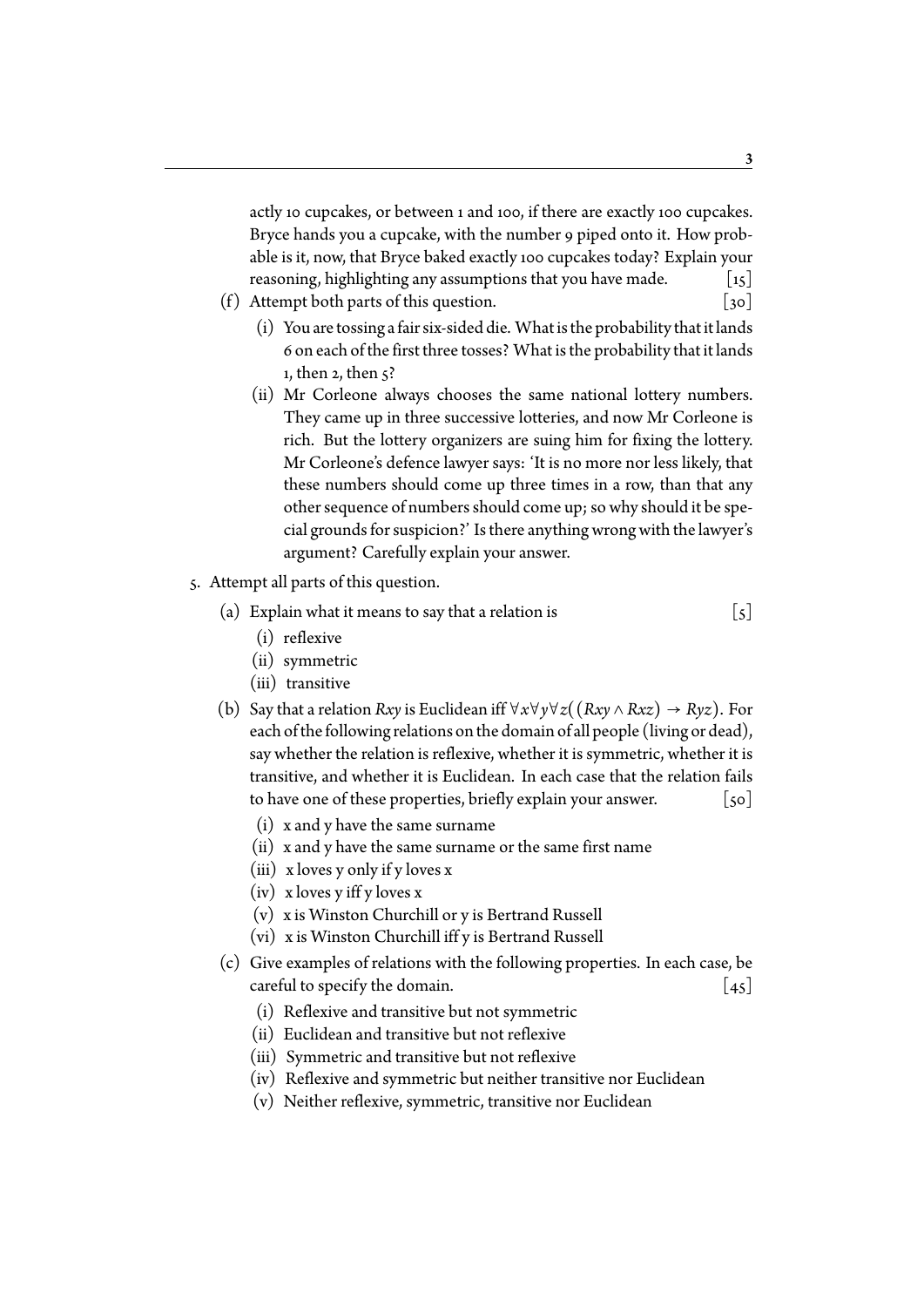actly 10 cupcakes, or between 1 and 100, if there are exactly 100 cupcakes. Bryce hands you a cupcake, with the number 9 piped onto it. How probable is it, now, that Bryce baked exactly 100 cupcakes today? Explain your reasoning, highlighting any assumptions that you have made.  $\begin{bmatrix} 15 \end{bmatrix}$ 

- (f) Attempt both parts of this question.  $\begin{bmatrix} 30 \end{bmatrix}$ 
	- (i) You are tossing a fair six-sided die. What is the probability that it lands ƪ on each of the first three tosses? What is the probability that it lands 1, then  $2$ , then  $\varsigma$ ?
	- (ii) Mr Corleone always chooses the same national lottery numbers. They came up in three successive lotteries, and now Mr Corleone is rich. But the lottery organizers are suing him for fixing the lottery. Mr Corleone's defence lawyer says: 'It is no more nor less likely, that these numbers should come up three times in a row, than that any other sequence of numbers should come up; so why should it be special grounds for suspicion?' Is there anything wrong with the lawyer's argument? Carefully explain your answer.
- Ʃ. Attempt all parts of this question.
	- (a) Explain what it means to say that a relation is  $\lceil 5 \rceil$ 
		- (i) reflexive
		- (ii) symmetric
		- (iii) transitive
	- (b) Say that a relation *Rxy* is Euclidean iff  $\forall x \forall y \forall z ((Rxy \land Rxz) \rightarrow Ryz)$ . For each of the following relations on the domain of all people (living or dead), say whether the relation is reflexive, whether it is symmetric, whether it is transitive, and whether it is Euclidean. In each case that the relation fails to have one of these properties, briefly explain your answer.  $[50]$ 
		- (i) x and y have the same surname
		- (ii) x and y have the same surname or the same first name
		- (iii) x loves y only if y loves x
		- (iv) x loves y iff y loves x
		- (v) x is Winston Churchill or y is Bertrand Russell
		- (vi) x is Winston Churchill iff y is Bertrand Russell
	- (c) Give examples of relations with the following properties. In each case, be careful to specify the domain.  $\begin{bmatrix} 45 \end{bmatrix}$ 
		- (i) Reflexive and transitive but not symmetric
		- (ii) Euclidean and transitive but not reflexive
		- (iii) Symmetric and transitive but not reflexive
		- (iv) Reflexive and symmetric but neither transitive nor Euclidean
		- (v) Neither reflexive, symmetric, transitive nor Euclidean